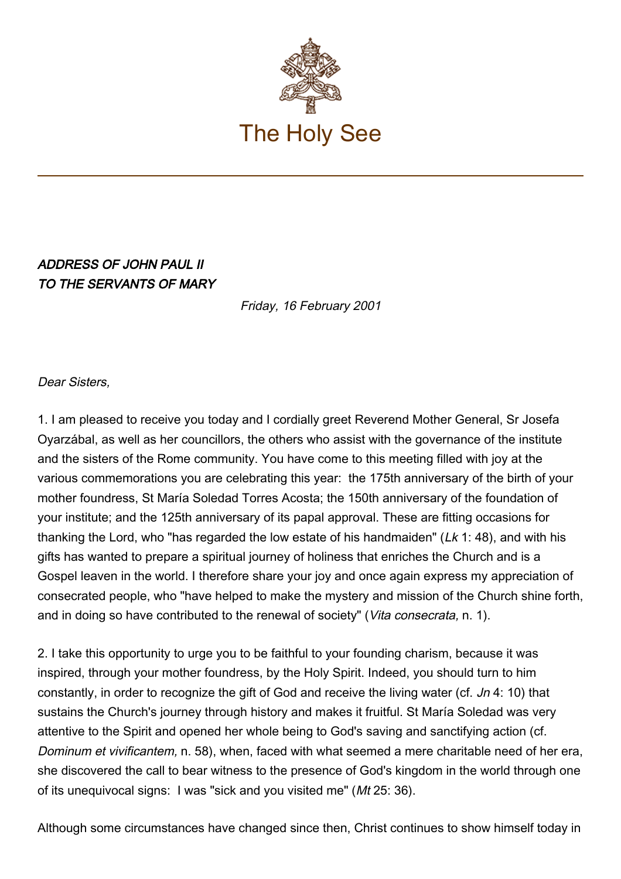

## ADDRESS OF JOHN PAUL II TO THE SERVANTS OF MARY

Friday, 16 February 2001

## Dear Sisters,

1. I am pleased to receive you today and I cordially greet Reverend Mother General, Sr Josefa Oyarzábal, as well as her councillors, the others who assist with the governance of the institute and the sisters of the Rome community. You have come to this meeting filled with joy at the various commemorations you are celebrating this year: the 175th anniversary of the birth of your mother foundress, St María Soledad Torres Acosta; the 150th anniversary of the foundation of your institute; and the 125th anniversary of its papal approval. These are fitting occasions for thanking the Lord, who "has regarded the low estate of his handmaiden" ( $Lk$  1: 48), and with his gifts has wanted to prepare a spiritual journey of holiness that enriches the Church and is a Gospel leaven in the world. I therefore share your joy and once again express my appreciation of consecrated people, who "have helped to make the mystery and mission of the Church shine forth, and in doing so have contributed to the renewal of society" (Vita consecrata, n. 1).

2. I take this opportunity to urge you to be faithful to your founding charism, because it was inspired, through your mother foundress, by the Holy Spirit. Indeed, you should turn to him constantly, in order to recognize the gift of God and receive the living water (cf. Jn 4: 10) that sustains the Church's journey through history and makes it fruitful. St María Soledad was very attentive to the Spirit and opened her whole being to God's saving and sanctifying action (cf. Dominum et vivificantem, n. 58), when, faced with what seemed a mere charitable need of her era, she discovered the call to bear witness to the presence of God's kingdom in the world through one of its unequivocal signs: I was "sick and you visited me" (Mt 25: 36).

Although some circumstances have changed since then, Christ continues to show himself today in